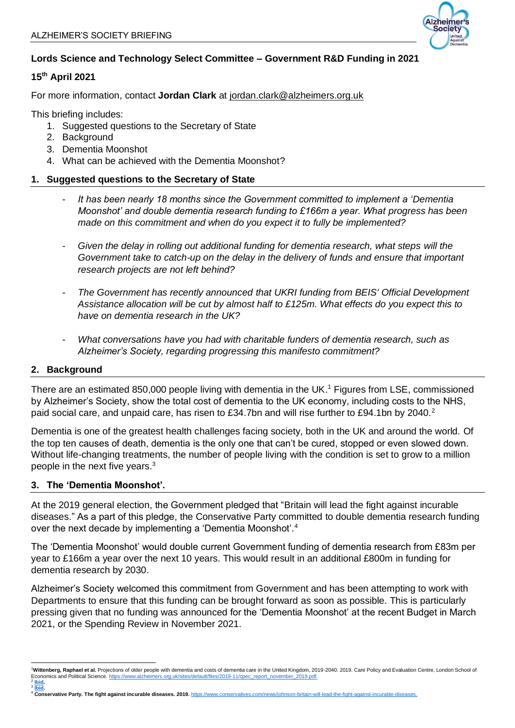

# **Lords Science and Technology Select Committee – Government R&D Funding in 2021**

## **15th April 2021**

For more information, contact **Jordan Clark** at [jordan.clark@alzheimers.org.uk](mailto:jordan.clark@alzheimers.org.uk)

This briefing includes:

- 1. Suggested questions to the Secretary of State
- 2. Background
- 3. Dementia Moonshot
- 4. What can be achieved with the Dementia Moonshot?

## **1. Suggested questions to the Secretary of State**

- It has been nearly 18 months since the Government committed to implement a 'Dementia *Moonshot' and double dementia research funding to £166m a year. What progress has been made on this commitment and when do you expect it to fully be implemented?*
- *Given the delay in rolling out additional funding for dementia research, what steps will the Government take to catch-up on the delay in the delivery of funds and ensure that important research projects are not left behind?*
- *The Government has recently announced that UKRI funding from BEIS' Official Development Assistance allocation will be cut by almost half to £125m. What effects do you expect this to have on dementia research in the UK?*
- *What conversations have you had with charitable funders of dementia research, such as Alzheimer's Society, regarding progressing this manifesto commitment?*

#### **2. Background**

3

There are an estimated 850,000 people living with dementia in the UK.<sup>1</sup> Figures from LSE, commissioned by Alzheimer's Society, show the total cost of dementia to the UK economy, including costs to the NHS, paid social care, and unpaid care, has risen to £34.7bn and will rise further to £94.1bn by 2040.<sup>2</sup>

Dementia is one of the greatest health challenges facing society, both in the UK and around the world. Of the top ten causes of death, dementia is the only one that can't be cured, stopped or even slowed down. Without life-changing treatments, the number of people living with the condition is set to grow to a million people in the next five years.<sup>3</sup>

#### **3. The 'Dementia Moonshot'.**

At the 2019 general election, the Government pledged that "Britain will lead the fight against incurable diseases." As a part of this pledge, the Conservative Party committed to double dementia research funding over the next decade by implementing a 'Dementia Moonshot'.<sup>4</sup>

The 'Dementia Moonshot' would double current Government funding of dementia research from £83m per year to £166m a year over the next 10 years. This would result in an additional £800m in funding for dementia research by 2030.

Alzheimer's Society welcomed this commitment from Government and has been attempting to work with Departments to ensure that this funding can be brought forward as soon as possible. This is particularly pressing given that no funding was announced for the 'Dementia Moonshot' at the recent Budget in March 2021, or the Spending Review in November 2021.

<sup>3</sup> I<mark>bid.</mark><br>4 **Conservative Party. The fight against incurable diseases. 2019.** [https://www.conservatives.com/news/johnson-britain-will-lead-the-fight-against-incurable-diseases.](https://www.conservatives.com/news/johnson-britain-will-lead-the-fight-against-incurable-diseases)

<sup>1</sup>**Wittenberg, Raphael et al.** Projections of older people with dementia and costs of dementia care in the United Kingdom, 2019-2040. 2019. Care Policy and Evaluation Centre, London School of<br>Economics and Political Science Economics and Political Science. <u>https://www.alzheimers.org.uk/sites/default/files/2019-11/cpec\_report\_november\_2019.pdf.<br><sup>2</sup> <u>Ibid</u>.</u>